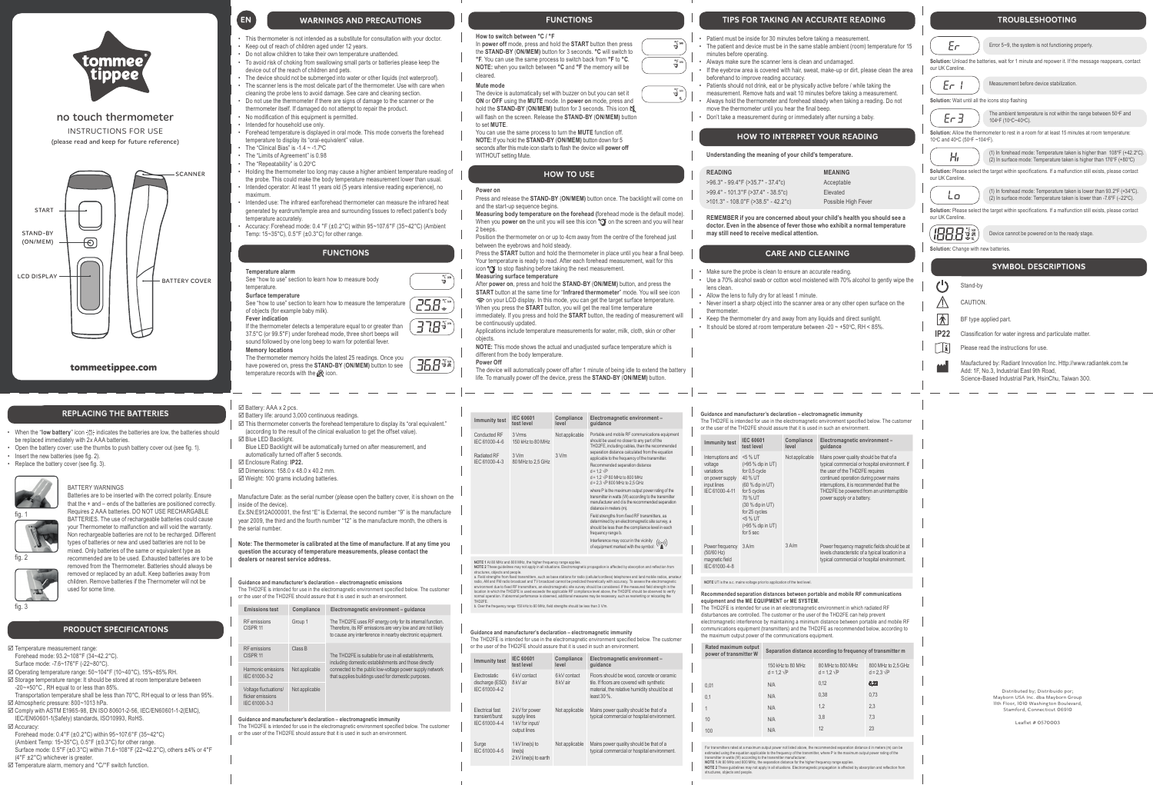EN

**Power on** Press and release the **STAND-BY** (**ON/MEM)** button once. The backlight will come on and the start-up sequence begins.

**Measuring body temperature on the forehead (**forehead mode is the default mode). When you power on the unit you will see this icon "o on the screen and you will hear

Press the **START** button and hold the thermometer in place until you hear a final beep. Your temperature is ready to read. After each forehead measurement, wait for this icon to stop flashing before taking the next measurement.

2 beeps. Position the thermometer on or up to 4cm away from the centre of the forehead just between the eyebrows and hold steady.

**Measuring surface temperature**

After **power on**, press and hold the **STAND-BY** (**ON/MEM)** button, and press the **START** button at the same time for "**Infrared thermometer**" mode. You will see icon

 on your LCD display. In this mode, you can get the target surface temperature. When you press the **START** button, you will get the real time temperature immediately. If you press and hold the **START** button, the reading of measurement will

be continuously updated. Applications include temperature measurements for water, milk, cloth, skin or other objects.

**NOTE:** This mode shows the actual and unadjusted surface temperature which is different from the body temperature.

**Power Off**

୍ତ

 $Z5B$ 

 $\widetilde{G}$ 

 $C<sub>O</sub>$ IEC

The device will automatically power off after 1 minute of being idle to extend the battery life. To manually power off the device, press the **STAND-BY** (**ON/MEM)** button.

- **Temperature alarm** See "how to use" section to learn how to measure body temperature. **Surface temperature** See "how to use" section to learn how to measure the temperature
- of objects (for example baby milk). **Fever indication**
- If the thermometer detects a temperature equal to or greater than 37.5°C (or 99.5°F) under forehead mode, three short beeps will
- sound followed by one long beep to warn for potential fever. **Memory locations**
- 
- The thermometer memory holds the latest 25 readings. Once you **35.8%** have powered on, press the **STAND-BY** (**ON/MEM)** button to see temperature records with the  $@$  icon.
- This thermometer is not intended as a substitute for consultation with your doctor.
- Keep out of reach of children aged under 12 years.
- Do not allow children to take their own temperature unattended.
- To avoid risk of choking from swallowing small parts or batteries please keep the device out of the reach of children and pets.
- The device should not be submerged into water or other liquids (not waterproof). • The scanner lens is the most delicate part of the thermometer. Use with care when
- cleaning the probe lens to avoid damage. See care and cleaning section. • Do not use the thermometer if there are signs of damage to the scanner or the
- thermometer itself. If damaged do not attempt to repair the product. • No modification of this equipment is permitted.
- Intended for household use only.
- Forehead temperature is displayed in oral mode. This mode converts the forehead temperature to display its "oral-equivalent" value.
- The "Clinical Bias" is  $-1.4 \sim -1.7$ °C
- The "Limits of Agreement" is 0.98
- The "Repeatability" is 0.20°C
- Holding the thermometer too long may cause a higher ambient temperature reading of the probe. This could make the body temperature measurement lower than usual.
- Intended operator: At least 11 years old (5 years intensive reading experience), no maximum.
- Intended use: The infrared ear/forehead thermometer can measure the infrared heat generated by eardrum/temple area and surrounding tissues to reflect patient's body temperature accurately.
- Accuracy: Forehead mode: 0.4 °F (±0.2°C) within 95~107.6°F (35~42°C) (Ambient Temp: 15~35°C), 0.5°F (±0.3°C) for other range.

- Use a 70% alcohol swab or cotton wool moistened with 70% alcohol to gently wipe the
- Allow the lens to fully dry for at least 1 minute.
- Never insert a sharp object into the scanner area or any other open surface on the
- Keep the thermometer dry and away from any liquids and direct sunlight.
- It should be stored at room temperature between -20  $\sim$  +50 $\degree$ C, RH < 85%.

**Solution:** Allow the thermometer to rest in a room for at least 15 minutes at room temperature: 10°C and 40°C (50°F ~104°F).

**Solution:** Please select the target within specifications. If a malfunction still exists, please contact our UK Careline.

**IBBB\*\*** Device cannot be powered on to the ready stage.

**Solution:** Change with new batteries.

# **Mute mode**

The device is automatically set with buzzer on but you can set it **ON** or **OFF** using the **MUTE** mode. In **power on** mode, press and hold the **STAND-BY** (**ON/MEM)** button for 3 seconds. This icon will flash on the screen. Release the **STAND-BY** (**ON/MEM)** button to set **MUTE**.

 $\boxtimes$  Storage temperature range: It should be stored at room temperature between -20~+50°C , RH equal to or less than 85%.

You can use the same process to turn the **MUTE** function off. **NOTE:** If you hold the **STAND-BY** (**ON/MEM)** button down for 5 seconds after this mute icon starts to flash the device will **power off** 

- Transportation temperature shall be less than 70°C. RH equal to or less than 95%. Atmospheric pressure: 800~1013 hPa.
- Comply with ASTM E1965-98, EN ISO 80601-2-56, IEC/EN60601-1-2(EMC), IEC/EN60601-1(Safety) standards, ISO10993, RoHS.
- **Ø** Accuracy:
- Forehead mode: 0.4°F (±0.2°C) within 95~107.6°F (35~42°C) (Ambient Temp: 15~35°C), 0.5°F (±0.3°C) for other range. Surface mode: 0.5°F (±0.3°C) within 71.6~108°F (22~42.2°C), others ±4% or 4°F
- (4°F ±2°C) whichever is greater. Temperature alarm, memory and °C/°F switch function.

WITHOUT setting Mute.

Ex.SN:E912A000001, the first "E" is External, the second number "9" is the manufacture year 2009, the third and the fourth number "12" is the manufacture month, the others is the serial number

 $\lceil \cdot \rceil$ Please read the instructions for use.



no touch thermometer INSTRUCTIONS FOR USE (please read and keep for future reference)

- Patient must be inside for 30 minutes before taking a measurement.
- The patient and device must be in the same stable ambient (room) temperature for 15 minutes before operating.
- Always make sure the scanner lens is clean and undamaged.
- If the eyebrow area is covered with hair, sweat, make-up or dirt, please clean the area beforehand to improve reading accuracy.
- Patients should not drink, eat or be physically active before / while taking the measurement. Remove hats and wait 10 minutes before taking a measurement.
- Always hold the thermometer and forehead steady when taking a reading. Do not move the thermometer until you hear the final beep.
- Don't take a measurement during or immediately after nursing a baby.

• Make sure the probe is clean to ensure an accurate reading.

- lens clean.
- thermometer.

**Understanding the meaning of your child's temperature.**

|                                   | <b>MEANING</b>      |
|-----------------------------------|---------------------|
| .4°F (>35.7° - 37.4°c)            | Acceptable          |
| $1.3^{\circ}$ F (>37.4° - 38.5°c) | Elevated            |
| 08.0°F (>38.5° - 42.2°c)          | Possible High Fever |
|                                   |                     |

- When the "low battery" icon <sub>计</sub>: indicates the batteries are low, the batteries should be replaced immediately with 2x AAA batteries.
- Open the battery cover: use the thumbs to push battery cover out (see fig. 1).
- **Insert the new batteries (see fig. 2)**
- Replace the battery cover (see fig. 3).

**REMEMBER if you are concerned about your child's health you should see a doctor. Even in the absence of fever those who exhibit a normal temperature may still need to receive medical attention.**

- $\boxtimes$  Battery life: around 3,000 continuous readings.
- $\boxtimes$  This thermometer converts the forehead temperature to display its "oral equivalent." (according to the result of the clinical evaluation to get the offset value).  $\boxtimes$  **Blue LED Backlight.**
- 
- Blue LED Backlight will be automatically turned on after measurement, and automatically turned off after 5 seconds.
- Enclosure Rating: **IP22.**
- $\boxtimes$  Dimensions: 158.0 x 48.0 x 40.2 mm.
- Weight: 100 grams including batteries.

 $\mathbb{A}$ 

木

**CAUTION** 

Error 5~9, the system is not functioning properly.

Measurement before device stabilization.

# **Solution:** Unload the batteries, wait for 1 minute and repower it. If the message reappears, contact our UK Careline.

 $E \cap T$ 

**Solution:** Wait until all the icons stop flashing



The ambient temperature is not within the range between 50°F and 104°F (10°C~40°C).



Lo.





structures, objects and people.<br>a. Field strengths from fixed transmitters, such as base stations for radio (cellular/cordless) telephones and land mobile radios, amateur<br>araio, AM and FM radio broadcast and TV broadcast c THD2FE. b. Over the frequency range 150 kHz to 80 MHz, field strengths should be less than 3 V/m.

**tommeetippee.com**

# WARNINGS AND PRECAUTIONS

# FUNCTIONS

# HOW TO USE

# TIPS FOR TAKING AN ACCURATE READING

# CARE AND CLEANING

# TROUBLESHOOTING



# HOW TO INTERPRET YOUR READING



**How to switch between °C / °F** 

In **power off** mode, press and hold the **START** button then press the **STAND-BY** (**ON/MEM)** button for 3 seconds. **°C** will switch to **°F**. You can use the same process to switch back from **°F** to **°C**. **NOTE:** when you switch between **°C** and **°F** the memory will be cleared.

# Temperature measurement range:

- Forehead mode: 93.2~108°F (34~42.2°C). Surface mode: -7.6~176°F (-22~80°C).
- Operating temperature range: 50~104°F (10~40°C), 15%~85% RH.

#### **Rated maximum output power of transmitter W Separation distance according to frequency of transmitter m**

**The The Customer intended** for the electromagnetic environment specified below. The customer or the user of the THD2FE should assure that it is used in such an environment.

Manufacture Date: as the serial number (please open the battery cover, it is shown on the inside of the device).

**Note: The thermometer is calibrated at the time of manufacture. If at any time you question the accuracy of temperature measurements, please contact the dealers or nearest service address.**

BF type applied part.

Classification for water ingress and particulate matter. **IP22**

# PRODUCT SPECIFICATIONS

# SYMBOL DESCRIPTIONS

**Guidance and manufacturer's declaration – electromagnetic emissions** The THD2FE is intended for use in the electromagnetic environment specified below. The customer or the user of the THD2FE should assure that it is used in such an environment.

**Guidance and manufacturer's declaration – electromagnetic immunity**

The THD2FE is intended for use in the electromagnetic environment specified below. The customer or the user of the THD2FE should assure that it is used in such an environment.

# **FUNCTIONS**

| <b>Emissions test</b>                                       | Compliance     | Electromagnetic environment - guidance                                                                                                                                                |
|-------------------------------------------------------------|----------------|---------------------------------------------------------------------------------------------------------------------------------------------------------------------------------------|
| <b>RF</b> emissions<br>CISPR <sub>11</sub>                  | Group 1        | The THD2FE uses RF energy only for its internal function.<br>Therefore, its RF emissions are very low and are not likely<br>to cause any interference in nearby electronic equipment. |
| <b>RF</b> emissions<br>CISPR <sub>11</sub>                  | Class B        | The THD2FE is suitable for use in all establishments.                                                                                                                                 |
| Harmonic emissions<br>IEC 61000-3-2                         | Not applicable | including domestic establishments and those directly<br>connected to the public low-voltage power supply network<br>that supplies buildings used for domestic purposes.               |
| Voltage fluctuations/<br>flicker emissions<br>IEC 61000-3-3 | Not applicable |                                                                                                                                                                                       |

# BATTERY WARNINGS

Batteries are to be inserted with the correct polarity. Ensure that the + and – ends of the batteries are positioned correctly. Requires 2 AAA batteries. DO NOT USE RECHARGABLE BATTERIES. The use of rechargeable batteries could cause your Thermometer to malfunction and will void the warranty. Non rechargeable batteries are not to be recharged. Different types of batteries or new and used batteries are not to be mixed. Only batteries of the same or equivalent type as recommended are to be used. Exhausted batteries are to be removed from the Thermometer. Batteries should always be removed or replaced by an adult. Keep batteries away from children. Remove batteries if the Thermometer will not be

used for some time.

# REPLACING THE BATTERIES

# Battery: AAA x 2 pcs.





fig. 3

Maufactured by: Radiant Innovation Inc. Http://www.radiantek.com.tw Add: 1F, No.3, Industrial East 9th Road, Science-Based Industrial Park, HsinChu, Taiwan 300.

### **Guidance and manufacturer's declaration – electromagnetic immunity**

The THD2FE is intended for use in the electromagnetic environment specified below. The customer or the user of the THD2FE should assure that it is used in such an environment.

### **Recommended separation distances between portable and mobile RF communications equipment and the ME EQUIPMENT or ME SYSTEM.**

The THD2FE is intended for use in an electromagnetic environment in which radiated RF

disturbances are controlled. The customer or the user of the THD2FE can help prevent electromagnetic interference by maintaining a minimum distance between portable and mobile RF communications equipment (transmitters) and the THD2FE as recommended below, according to the maximum output power of the communications equipment.

**NOTE** UT is the a.c. mains voltage prior to application of the test level.

structures, objects and people.

| Immunity test                                                        | <b>IEC 60601</b><br>test level                                    | Compliance<br>level       | Electromagnetic environment-<br>guidance                                                                                                                                                                                                                                                                                                                                                                                                                                                                                                                                                                                                         |                                                                                                                 | Guidance and manufacturer's declaration - elect<br>The THD2FE is intended for use in the electromagnet<br>or the user of the THD2FE should assure that it is use                 |                                       |
|----------------------------------------------------------------------|-------------------------------------------------------------------|---------------------------|--------------------------------------------------------------------------------------------------------------------------------------------------------------------------------------------------------------------------------------------------------------------------------------------------------------------------------------------------------------------------------------------------------------------------------------------------------------------------------------------------------------------------------------------------------------------------------------------------------------------------------------------------|-----------------------------------------------------------------------------------------------------------------|----------------------------------------------------------------------------------------------------------------------------------------------------------------------------------|---------------------------------------|
| Conducted RF<br>IEC 61000-4-6<br><b>Radiated RF</b><br>IEC 61000-4-3 | 3 Vrms<br>150 kHz to 80 MHz<br>$3$ V/m<br>80 MHz to 2,5 GHz       | Not applicable<br>$3$ V/m | Portable and mobile RF communications equipment<br>should be used no closer to any part of the<br>THD2FE, including cables, than the recommended<br>separation distance calculated from the equation<br>applicable to the frequency of the transmitter.<br>Recommended separation distance<br>$d = 1.2 \sqrt{P}$<br>$d = 1.2 \sqrt{P} 80$ MHz to 800 MHz<br>$d = 2.3 \sqrt{P} 800$ MHz to 2.5 GHz<br>where P is the maximum output power rating of the<br>transmitter in watts (W) according to the transmitter<br>manufacturer and d is the recommended separation<br>distance in meters (m).<br>Field strengths from fixed RF transmitters, as | Immunity test<br>Interruptions and<br>voltage<br>variations<br>on power supply<br>input lines<br>IEC 61000-4-11 | <b>IEC 60601</b><br>test level<br><5 % UT<br>(>95 % dip in UT)<br>for 0,5 cycle<br>40 % UT<br>(60 % dip in UT)<br>for 5 cycles<br>70 % UT<br>$(30 %$ dip in UT)<br>for 25 cycles | Compliance<br>level<br>Not applicable |
|                                                                      | NOTE 1 At 80 MHz and 800 MHz, the higher frequency range applies. |                           | determined by an electromagnetic site survey, a<br>should be less than the compliance level in each<br>frequency range b.<br>Interference may occur in the vicinity $((\cdot))$<br>of equipment marked with the symbol:                                                                                                                                                                                                                                                                                                                                                                                                                          | Power frequency 3 A/m<br>(50/60 Hz)<br>magnetic field                                                           | $<$ 5 % UT<br>(>95 % dip in UT)<br>for 5 sec                                                                                                                                     | 3A/m                                  |
|                                                                      |                                                                   |                           | NOTE 2 These guidelines may not apply in all situations. Electromagnetic propagation is affected by absorption and reflection from                                                                                                                                                                                                                                                                                                                                                                                                                                                                                                               | IEC 61000-4-8                                                                                                   |                                                                                                                                                                                  |                                       |

| 150 kHz to 80 MHz<br>$d = 1.2 \sqrt{P}$ | 80 MHz to 800 MHz<br>$d = 1.2 \sqrt{P}$ | 800 MHz to 2,5 GHz<br>$d = 2.3 \sqrt{P}$ |
|-----------------------------------------|-----------------------------------------|------------------------------------------|
| N/A                                     | 0,12                                    | 0.23                                     |
| N/A                                     | 0,38                                    | 0,73                                     |
| N/A                                     | 1,2                                     | 2,3                                      |
| N/A                                     | 3,8                                     | 7,3                                      |
| N/A                                     | 12                                      | 23                                       |
|                                         |                                         |                                          |

For transmitters rated at a maximum output power not listed above, the recommended separation distance d in meters (m) can be<br>estimated using the equation applicable to the frequency of the transmitter, where P is the maxi

| st.               | <b>IEC 60601</b><br>test level                                                                                                                                                            | Compliance<br>level | Electromagnetic environment-<br>guidance                                                                                                                                                                                                                                                       |
|-------------------|-------------------------------------------------------------------------------------------------------------------------------------------------------------------------------------------|---------------------|------------------------------------------------------------------------------------------------------------------------------------------------------------------------------------------------------------------------------------------------------------------------------------------------|
| and<br>ply<br>.11 | <5 % UT<br>(>95 % dip in UT)<br>for 0,5 cycle<br>40 % UT<br>(60 % dip in UT)<br>for 5 cycles<br>70 % UT<br>(30 % dip in UT)<br>for 25 cycles<br><5 % UT<br>(>95 % dip in UT)<br>for 5 sec | Not applicable      | Mains power quality should be that of a<br>typical commercial or hospital environment. If<br>the user of the THD2FE requires<br>continued operation during power mains<br>interruptions, it is recommended that the<br>THD2FE be powered from an uninterruptible<br>power supply or a battery. |
| ncy<br>8          | 3A/m                                                                                                                                                                                      | 3A/m                | Power frequency magnetic fields should be at<br>levels characteristic of a typical location in a<br>typical commercial or hospital environment.                                                                                                                                                |

|                                                     | <b>IEC 60601</b>                                                  | Compliance               | Electromagnetic environment-                                                                                                                               | pow                                                       |
|-----------------------------------------------------|-------------------------------------------------------------------|--------------------------|------------------------------------------------------------------------------------------------------------------------------------------------------------|-----------------------------------------------------------|
| Immunity test                                       | test level                                                        | level                    | guidance                                                                                                                                                   |                                                           |
| Electrostatic<br>discharge (ESD)<br>IEC 61000-4-2   | 6 kV contact<br>8 kV air                                          | 6 kV contact<br>8 kV air | Floors should be wood, concrete or ceramic<br>tile. If floors are covered with synthetic<br>material, the relative humidity should be at<br>least $30\%$ . | 0.01<br>0,1                                               |
| Electrical fast<br>transient/burst<br>IEC 61000-4-4 | 2 kV for power<br>supply lines<br>1 kV for input/<br>output lines | Not applicable           | Mains power quality should be that of a<br>typical commercial or hospital environment.                                                                     | 1<br>10<br>100                                            |
| Surge<br>IEC 61000-4-5                              | 1 kV line(s) to<br>line(s)<br>2 kV line(s) to earth               | Not applicable           | Mains power quality should be that of a<br>typical commercial or hospital environment.                                                                     | For tra<br>estima<br>transn<br><b>NOTE</b><br><b>NOTE</b> |

- 
- 

 $\overline{\mathbf{v}}$ 

**READING** 

 $>96.3^\circ - 99$  $>99.4^\circ$  - 10  $>101.3^\circ$  - 1

| Guidance and manufacturer's declaration - electromagnetic immunity         |  |
|----------------------------------------------------------------------------|--|
| The THD2EE is intended for use in the electromagnetic environment specific |  |

Distributed by; Distribuido por; Mayborn USA Inc. dba Mayborn Group 11th Floor, 1010 Washington Boulevard, Stamford, Connecticut 06910

Leaflet # 0570003